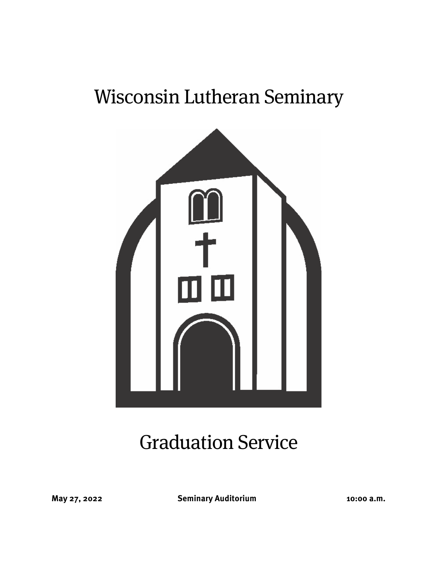# Wisconsin Lutheran Seminary



# Graduation Service

**May 27, 2022 Seminary Auditorium 10:00 a.m.**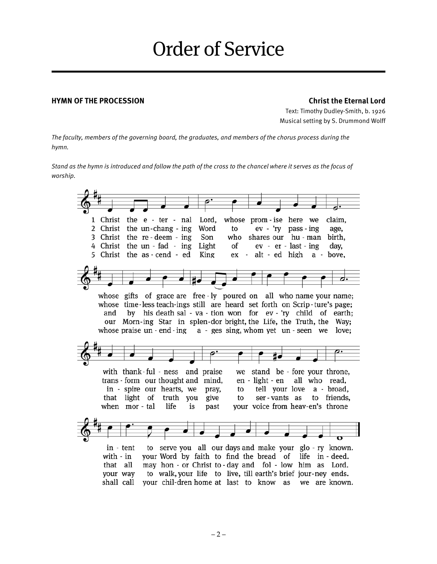# Order of Service

# **HYMN OF THE PROCESSION Christ the Eternal Lord**

Text: Timothy Dudley-Smith, b. 1926 Musical setting by S. Drummond Wolff

The faculty, members of the governing board, the graduates, and members of the chorus process during the hymn.

Stand as the hymn is introduced and follow the path of the cross to the chancel where it serves as the focus of worship.

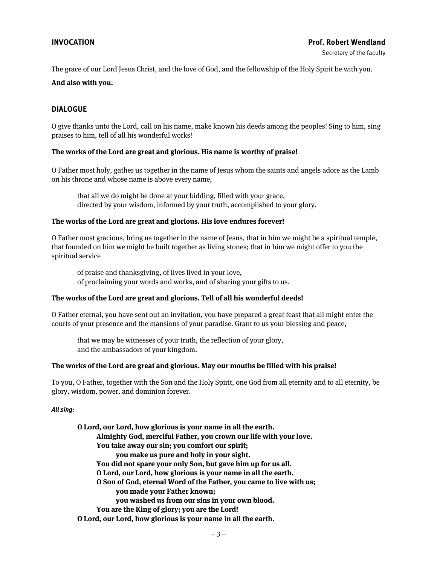The grace of our Lord Jesus Christ, and the love of God, and the fellowship of the Holy Spirit be with you.

# **And also with you.**

# **DIALOGUE**

O give thanks unto the Lord, call on his name, make known his deeds among the peoples! Sing to him, sing praises to him, tell of all his wonderful works!

# **The works of the Lord are great and glorious. His name is worthy of praise!**

O Father most holy, gather us together in the name of Jesus whom the saints and angels adore as the Lamb on his throne and whose name is above every name,

that all we do might be done at your bidding, filled with your grace, directed by your wisdom, informed by your truth, accomplished to your glory.

# **The works of the Lord are great and glorious. His love endures forever!**

O Father most gracious, bring us together in the name of Jesus, that in him we might be a spiritual temple, that founded on him we might be built together as living stones; that in him we might offer to you the spiritual service

of praise and thanksgiving, of lives lived in your love, of proclaiming your words and works, and of sharing your gifts to us.

# **The works of the Lord are great and glorious. Tell of all his wonderful deeds!**

O Father eternal, you have sent out an invitation, you have prepared a great feast that all might enter the courts of your presence and the mansions of your paradise. Grant to us your blessing and peace,

that we may be witnesses of your truth, the reflection of your glory, and the ambassadors of your kingdom.

# **The works of the Lord are great and glorious. May our mouths be filled with his praise!**

To you, O Father, together with the Son and the Holy Spirit, one God from all eternity and to all eternity, be glory, wisdom, power, and dominion forever.

# **All sing:**

**O Lord, our Lord, how glorious is your name in all the earth. Almighty God, merciful Father, you crown our life with your love. You take away our sin; you comfort our spirit; you make us pure and holy in your sight. You did not spare your only Son, but gave him up for us all. O Lord, our Lord, how glorious is your name in all the earth. O Son of God, eternal Word of the Father, you came to live with us; you made your Father known; you washed us from our sins in your own blood. You are the King of glory; you are the Lord! O Lord, our Lord, how glorious is your name in all the earth.**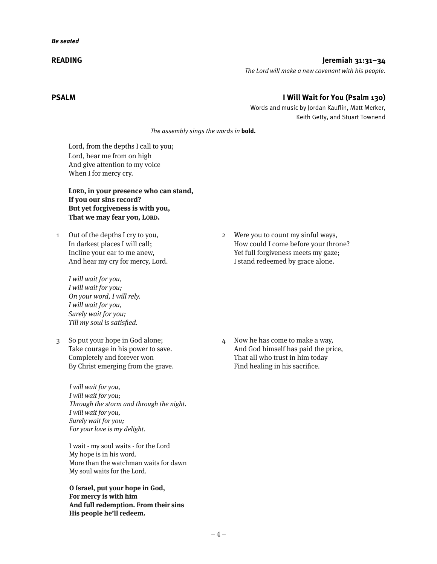# **READING Jeremiah 31:31–34**

The Lord will make a new covenant with his people.

# **PSALM PSALM I** Will Wait for You (Psalm 130)

words and music by Jordan Kauflin, Matt Merker, Keith Getty, and Stuart Townend

The assembly sings the words in **bold.** 

Lord, from the depths I call to you; Lord, hear me from on high And give attention to my voice When I for mercy cry.

**LORD, in your presence who can stand, If you our sins record? But yet forgiveness is with you, That we may fear you, LORD.**

1 Out of the depths I cry to you, In darkest places I will call; Incline your ear to me anew, And hear my cry for mercy, Lord.

> *I will wait for you, I will wait for you; On your word, I will rely. I will wait for you, Surely wait for you; Till my soul is satisfied.*

3 So put your hope in God alone; Take courage in his power to save. Completely and forever won By Christ emerging from the grave.

> *I will wait for you, I will wait for you; Through the storm and through the night. I will wait for you, Surely wait for you; For your love is my delight.*

> I wait - my soul waits - for the Lord My hope is in his word. More than the watchman waits for dawn My soul waits for the Lord.

**O Israel, put your hope in God, For mercy is with him And full redemption. From their sins His people he'll redeem.**

2 Were you to count my sinful ways, How could I come before your throne? Yet full forgiveness meets my gaze; I stand redeemed by grace alone.

4 Now he has come to make a way, And God himself has paid the price, That all who trust in him today Find healing in his sacrifice.

 $-3-$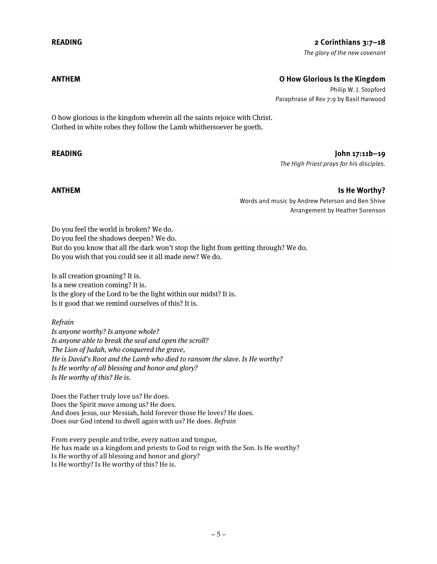# **READING 2 Corinthians 3:7–18**

The glory of the new covenant

# **ANTHEM O How Glorious Is the Kingdom**

Philip W. J. Stopford Paraphrase of Rev 7:9 by Basil Harwood

O how glorious is the kingdom wherein all the saints rejoice with Christ. Clothed in white robes they follow the Lamb whithersoever he goeth.

# **READING John 17:11b–19**

The High Priest prays for his disciples.

# **ANTHEM Is He Worthy?**

Words and music by Andrew Peterson and Ben Shive Arrangement by Heather Sorenson

Do you feel the world is broken? We do. Do you feel the shadows deepen? We do. But do you know that all the dark won't stop the light from getting through? We do. Do you wish that you could see it all made new? We do.

Is all creation groaning? It is. Is a new creation coming? It is. Is the glory of the Lord to be the light within our midst? It is. Is it good that we remind ourselves of this? It is.

# *Refrain*

*Is anyone worthy? Is anyone whole? Is anyone able to break the seal and open the scroll? The Lion of Judah, who conquered the grave, He is David's Root and the Lamb who died to ransom the slave. Is He worthy? Is He worthy of all blessing and honor and glory? Is He worthy of this? He is.* 

Does the Father truly love us? He does. Does the Spirit move among us? He does. And does Jesus, our Messiah, hold forever those He loves? He does. Does our God intend to dwell again with us? He does. *Refrain* 

From every people and tribe, every nation and tongue, He has made us a kingdom and priests to God to reign with the Son. Is He worthy? Is He worthy of all blessing and honor and glory? Is He worthy? Is He worthy of this? He is.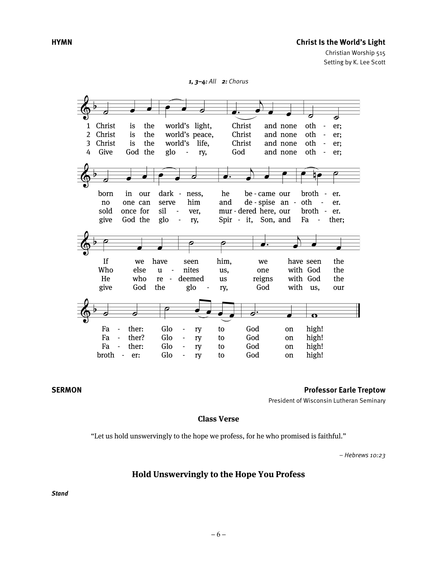Christian Worship 515 Setting by K. Lee Scott

**1, 3–4:** All **2:** Chorus



# **SERMON Professor Earle Treptow**

President of Wisconsin Lutheran Seminary

# **Class Verse**

"Let us hold unswervingly to the hope we profess, for he who promised is faithful."

– Hebrews 10:23

# **Hold Unswervingly to the Hope You Profess**

**Stand**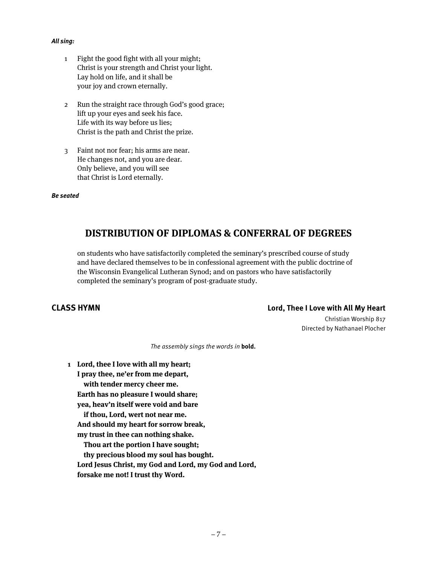### **All sing:**

- 1 Fight the good fight with all your might; Christ is your strength and Christ your light. Lay hold on life, and it shall be your joy and crown eternally.
- 2 Run the straight race through God's good grace; lift up your eyes and seek his face. Life with its way before us lies; Christ is the path and Christ the prize.
- 3 Faint not nor fear; his arms are near. He changes not, and you are dear. Only believe, and you will see that Christ is Lord eternally.

**Be seated**

# **DISTRIBUTION OF DIPLOMAS & CONFERRAL OF DEGREES**

on students who have satisfactorily completed the seminary's prescribed course of study and have declared themselves to be in confessional agreement with the public doctrine of the Wisconsin Evangelical Lutheran Synod; and on pastors who have satisfactorily completed the seminary's program of post-graduate study.

# **CLASS HYMN Lord, Thee I Love with All My Heart**

Christian Worship 817 Directed by Nathanael Plocher

The assembly sings the words in **bold.**

**1 Lord, thee I love with all my heart; I pray thee, ne'er from me depart, with tender mercy cheer me. Earth has no pleasure I would share; yea, heav'n itself were void and bare if thou, Lord, wert not near me. And should my heart for sorrow break, my trust in thee can nothing shake. Thou art the portion I have sought; thy precious blood my soul has bought. Lord Jesus Christ, my God and Lord, my God and Lord, forsake me not! I trust thy Word.**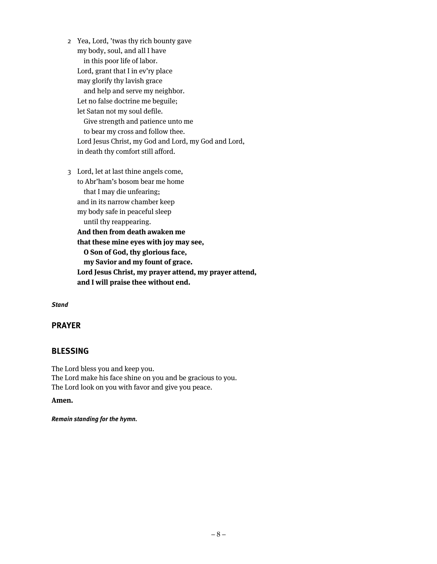2 Yea, Lord, 'twas thy rich bounty gave my body, soul, and all I have in this poor life of labor. Lord, grant that I in ev'ry place may glorify thy lavish grace and help and serve my neighbor. Let no false doctrine me beguile; let Satan not my soul defile. Give strength and patience unto me to bear my cross and follow thee. Lord Jesus Christ, my God and Lord, my God and Lord, in death thy comfort still afford.

3 Lord, let at last thine angels come, to Abr'ham's bosom bear me home that I may die unfearing; and in its narrow chamber keep my body safe in peaceful sleep until thy reappearing. **And then from death awaken me that these mine eyes with joy may see, O Son of God, thy glorious face, my Savior and my fount of grace. Lord Jesus Christ, my prayer attend, my prayer attend, and I will praise thee without end.**

### **Stand**

# **PRAYER**

### **BLESSING**

The Lord bless you and keep you. The Lord make his face shine on you and be gracious to you. The Lord look on you with favor and give you peace.

### **Amen.**

### **Remain standing for the hymn.**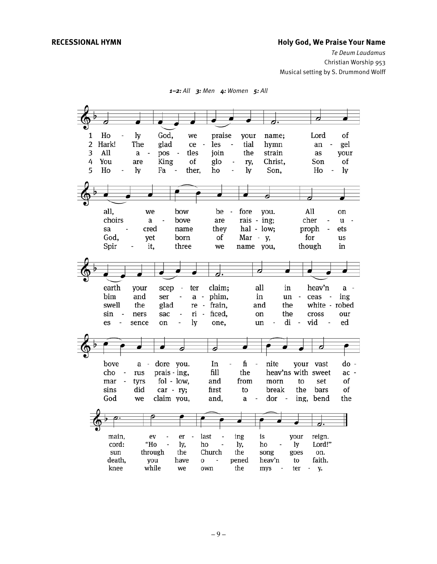# **RECESSIONAL HYMN Holy God, We Praise Your Name**

Te Deum Laudamus Christian Worship 953 Musical setting by S. Drummond Wolff

| 1              | Ho<br>$\overline{\phantom{0}}$  | ly                            | God,                           | we                            | praise                             | your                             | name;                                | Lord                                             | of    |
|----------------|---------------------------------|-------------------------------|--------------------------------|-------------------------------|------------------------------------|----------------------------------|--------------------------------------|--------------------------------------------------|-------|
| $\overline{2}$ | Hark!                           | The                           | glad                           | ce                            | les<br>$\overline{\phantom{a}}$    | tial<br>$\overline{\phantom{0}}$ | hymn                                 | an<br>$\overline{\phantom{0}}$                   | gel   |
| 3              | All                             | a                             | pos                            | tles                          | join                               | the                              | strain                               | as                                               | your  |
| 4              | You                             | are                           | King                           | of                            | glo                                | ry,                              | Christ,                              | Son                                              | of    |
| 5              | Ho                              | ly                            | Fa<br>$\overline{\phantom{a}}$ | ther,                         | ho                                 | ly                               | Son,                                 | Ho                                               | ly    |
|                |                                 |                               |                                |                               |                                    |                                  |                                      |                                                  |       |
|                |                                 |                               |                                |                               |                                    |                                  |                                      |                                                  |       |
|                |                                 |                               |                                |                               |                                    |                                  |                                      |                                                  |       |
|                |                                 |                               |                                |                               |                                    |                                  |                                      |                                                  |       |
|                | all,                            | we                            |                                | bow                           | be                                 | fore<br>$\overline{\phantom{m}}$ | you.                                 | All                                              | on    |
|                | choirs                          | a                             |                                | bove                          | are                                |                                  | rais - ing;                          | cher                                             | u     |
|                | sa<br>$\overline{\phantom{0}}$  | cred                          |                                | name                          | they                               |                                  | hal - low;                           | proph<br>$\frac{1}{2}$                           | ets   |
|                | God,                            | yet                           |                                | born                          | of                                 |                                  | Mar - y,                             | for                                              | us    |
|                | Spir                            | it,                           |                                | three                         | we                                 |                                  | name vou,                            | though                                           | in    |
|                |                                 |                               |                                |                               |                                    |                                  |                                      |                                                  |       |
|                |                                 |                               |                                |                               |                                    |                                  |                                      |                                                  |       |
|                |                                 |                               |                                |                               |                                    |                                  |                                      |                                                  |       |
|                |                                 |                               |                                |                               |                                    |                                  |                                      |                                                  |       |
|                | earth                           | your                          | scep                           | ter                           | claim;                             |                                  | all<br>in                            | heav'n                                           | a     |
|                | bim                             | and                           | ser                            | a<br>$\overline{\phantom{0}}$ | phim,<br>$\overline{\phantom{a}}$  |                                  | in<br>un                             | $\overline{a}$<br>ceas<br>-                      | ing   |
|                | swell                           | the                           | glad                           | re                            | frain,<br>$\overline{\phantom{a}}$ |                                  | the<br>and                           | white -                                          | robed |
|                | sin<br>$\overline{\phantom{a}}$ | ners                          | sac                            | ri                            | ficed,<br>$\blacksquare$           |                                  | the<br>on                            | cross                                            | our   |
|                | es<br>$\overline{\phantom{a}}$  | sence                         | on                             | ly<br>-                       | one,                               |                                  | di<br>un<br>$\overline{\phantom{a}}$ | vid<br>$\frac{1}{2}$<br>$\overline{\phantom{a}}$ | ed    |
|                |                                 |                               |                                |                               |                                    |                                  |                                      |                                                  |       |
|                |                                 |                               |                                |                               |                                    |                                  |                                      |                                                  |       |
|                |                                 |                               |                                |                               | 6                                  |                                  |                                      |                                                  |       |
|                |                                 |                               |                                |                               |                                    |                                  |                                      |                                                  |       |
|                | bove                            | a<br>$\overline{\phantom{a}}$ | dore you.                      |                               | In                                 | fı                               | nite                                 | your<br>vast                                     | do -  |
|                | cho                             | rus                           | prais - ing,                   |                               | fill                               | the                              |                                      | heav'ns with sweet                               | ac -  |
|                | mar                             | tyrs                          | fol - low,                     |                               | and                                | from                             | morn                                 | to<br>set                                        | of    |
|                | sins                            | did                           | car - ry;                      |                               | first                              | to                               | break                                | the<br>bars                                      | of    |
|                | God                             | we                            | claim you,                     |                               | and,                               | a                                | dor<br>$\overline{\phantom{a}}$      | ing,<br>bend                                     | the   |
|                |                                 |                               |                                |                               |                                    |                                  |                                      |                                                  |       |
|                |                                 |                               |                                |                               |                                    |                                  |                                      |                                                  |       |
|                |                                 |                               |                                |                               |                                    |                                  |                                      |                                                  |       |
|                |                                 |                               |                                |                               |                                    |                                  |                                      |                                                  |       |
|                | main,                           | ev<br>"Ho                     | $\overline{a}$                 | er<br>ly,                     | last<br>ho                         | ing                              | is<br>$\overline{a}$                 | reign.<br>your<br>Lord!"                         |       |
|                | cord:<br>sun                    | through                       |                                | the                           | Church                             | ly,<br>the                       | ho<br>song                           | ly<br>on.<br>goes                                |       |
|                | death,                          | you                           |                                | have                          | 0<br>$\qquad \qquad \blacksquare$  | pened                            | heav'n                               | faith.<br>to                                     |       |
|                |                                 | while                         |                                |                               |                                    | the                              |                                      |                                                  |       |

**1–2:** All **3:** Men **4:** Women **5:** All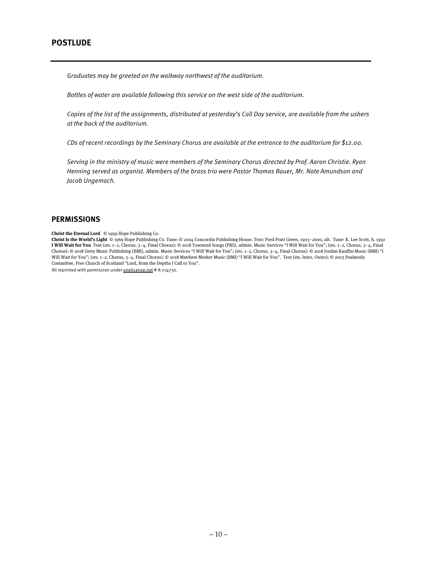Graduates may be greeted on the walkway northwest of the auditorium.

Bottles of water are available following this service on the west side of the auditorium.

Copies of the list of the assignments, distributed at yesterday's Call Day service, are available from the ushers at the back of the auditorium.

CDs of recent recordings by the Seminary Chorus are available at the entrance to the auditorium for \$12.00.

Serving in the ministry of music were members of the Seminary Chorus directed by Prof. Aaron Christie. Ryan Henning served as organist. Members of the brass trio were Pastor Thomas Bauer, Mr. Nate Amundson and Jacob Ungemach.

# **PERMISSIONS**

### **Christ the Eternal Lord** © 1999 Hope Publishing Co.

**Christ Is the World's Light** © 1969 Hope Publishing Co. Tune: © 2004 Concordia Publishing House. Text: Fred Pratt Green, 1903–2000, alt. Tune: K. Lee Scott, b. 1950 **I Will Wait for You** Text (sts. 1–2, Chorus, 3–4, Final Chorus): © 2018 Townend Songs (PRS), admin. Music Services "I Will Wait for You"; (sts. 1–2, Chorus, 3–4, Final Chorus): © 2018 Getty Music Publishing (BMI), admin. Music Services "I Will Wait for You"; (sts. 1–2, Chorus, 3–4, Final Chorus): © 2018 Jordan Kauflin Music (BMI) "I Will Wait for You"; (sts. 1-2, Chorus, 3-4, Final Chorus): © 2018 Matthew Merker Music (BMI) "I Will Wait for You". Text (sts. Intro, Outro): © 2003 Psalmody Committee, Free Church of Scotland "Lord, from the Depths I Call to You".

All reprinted with permission under **onelicense.net** # A-714730.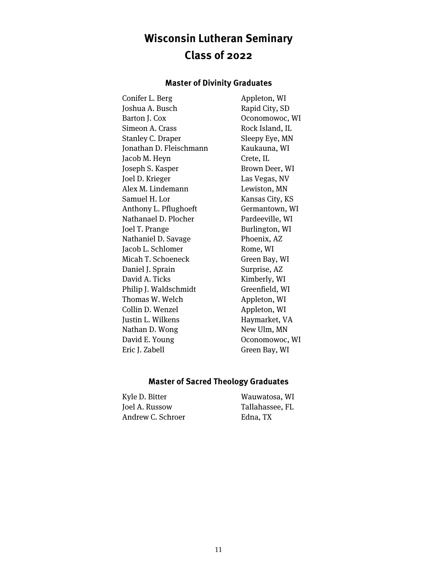# **Wisconsin Lutheran Seminary Class of 2022**

# **Master of Divinity Graduates**

Conifer L. Berg Appleton, WI Joshua A. Busch Rapid City, SD Barton J. Cox Oconomowoc, WI Simeon A. Crass Rock Island, IL Stanley C. Draper Sleepy Eye, MN Jonathan D. Fleischmann Kaukauna, WI Jacob M. Heyn Crete, IL Joseph S. Kasper Brown Deer, WI Joel D. Krieger Las Vegas, NV Alex M. Lindemann Lewiston, MN Samuel H. Lor Kansas City, KS Anthony L. Pflughoeft **Germantown**, WI Nathanael D. Plocher Pardeeville, WI Joel T. Prange Burlington, WI Nathaniel D. Savage Phoenix, AZ Jacob L. Schlomer Rome, WI Micah T. Schoeneck Green Bay, WI Daniel J. Sprain Surprise, AZ David A. Ticks Kimberly, WI Philip J. Waldschmidt Greenfield, WI Thomas W. Welch Appleton, WI Collin D. Wenzel Appleton, WI Justin L. Wilkens Haymarket, VA Nathan D. Wong New Ulm, MN David E. Young Oconomowoc, WI Eric J. Zabell Green Bay, WI

# **Master of Sacred Theology Graduates**

| Kyle D. Bitter    | Wauwatosa, WI   |
|-------------------|-----------------|
| Joel A. Russow    | Tallahassee, FL |
| Andrew C. Schroer | Edna, TX        |